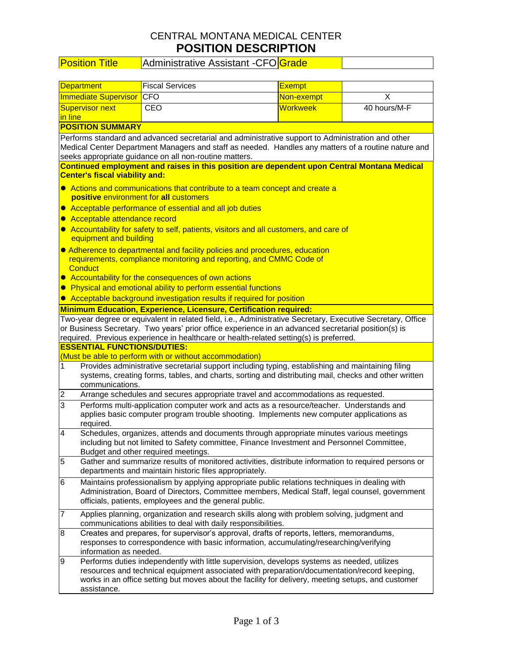# CENTRAL MONTANA MEDICAL CENTER **POSITION DESCRIPTION**

# Position Title | Administrative Assistant -CFO Grade

| <b>Department</b>                                                                                                                                                                                                                                                                                            | <b>Fiscal Services</b>                                                                                                                                                                                                                                                                           | <b>Exempt</b>   |              |  |  |  |  |
|--------------------------------------------------------------------------------------------------------------------------------------------------------------------------------------------------------------------------------------------------------------------------------------------------------------|--------------------------------------------------------------------------------------------------------------------------------------------------------------------------------------------------------------------------------------------------------------------------------------------------|-----------------|--------------|--|--|--|--|
| <b>Immediate Supervisor</b>                                                                                                                                                                                                                                                                                  | CFO                                                                                                                                                                                                                                                                                              | Non-exempt      | Х            |  |  |  |  |
| Supervisor next<br>in line                                                                                                                                                                                                                                                                                   | CEO                                                                                                                                                                                                                                                                                              | <b>Workweek</b> | 40 hours/M-F |  |  |  |  |
| <b>POSITION SUMMARY</b>                                                                                                                                                                                                                                                                                      |                                                                                                                                                                                                                                                                                                  |                 |              |  |  |  |  |
| Performs standard and advanced secretarial and administrative support to Administration and other<br>Medical Center Department Managers and staff as needed. Handles any matters of a routine nature and<br>seeks appropriate guidance on all non-routine matters.                                           |                                                                                                                                                                                                                                                                                                  |                 |              |  |  |  |  |
| Continued employment and raises in this position are dependent upon Central Montana Medical<br><b>Center's fiscal viability and:</b>                                                                                                                                                                         |                                                                                                                                                                                                                                                                                                  |                 |              |  |  |  |  |
| • Actions and communications that contribute to a team concept and create a<br>positive environment for all customers                                                                                                                                                                                        |                                                                                                                                                                                                                                                                                                  |                 |              |  |  |  |  |
|                                                                                                                                                                                                                                                                                                              | • Acceptable performance of essential and all job duties                                                                                                                                                                                                                                         |                 |              |  |  |  |  |
| Acceptable attendance record<br>$\bullet$<br>• Accountability for safety to self, patients, visitors and all customers, and care of<br>equipment and building                                                                                                                                                |                                                                                                                                                                                                                                                                                                  |                 |              |  |  |  |  |
| ● Adherence to departmental and facility policies and procedures, education<br>requirements, compliance monitoring and reporting, and CMMC Code of<br><b>Conduct</b>                                                                                                                                         |                                                                                                                                                                                                                                                                                                  |                 |              |  |  |  |  |
|                                                                                                                                                                                                                                                                                                              | • Accountability for the consequences of own actions                                                                                                                                                                                                                                             |                 |              |  |  |  |  |
|                                                                                                                                                                                                                                                                                                              | • Physical and emotional ability to perform essential functions<br>• Acceptable background investigation results if required for position                                                                                                                                                        |                 |              |  |  |  |  |
|                                                                                                                                                                                                                                                                                                              | Minimum Education, Experience, Licensure, Certification required:                                                                                                                                                                                                                                |                 |              |  |  |  |  |
| Two-year degree or equivalent in related field, i.e., Administrative Secretary, Executive Secretary, Office<br>or Business Secretary. Two years' prior office experience in an advanced secretarial position(s) is<br>required. Previous experience in healthcare or health-related setting(s) is preferred. |                                                                                                                                                                                                                                                                                                  |                 |              |  |  |  |  |
| <b>ESSENTIAL FUNCTIONS/DUTIES:</b>                                                                                                                                                                                                                                                                           | (Must be able to perform with or without accommodation)                                                                                                                                                                                                                                          |                 |              |  |  |  |  |
| 1<br>communications.                                                                                                                                                                                                                                                                                         | Provides administrative secretarial support including typing, establishing and maintaining filing<br>systems, creating forms, tables, and charts, sorting and distributing mail, checks and other written                                                                                        |                 |              |  |  |  |  |
| $\overline{2}$                                                                                                                                                                                                                                                                                               | Arrange schedules and secures appropriate travel and accommodations as requested.                                                                                                                                                                                                                |                 |              |  |  |  |  |
| 3<br>required.                                                                                                                                                                                                                                                                                               | Performs multi-application computer work and acts as a resource/teacher. Understands and<br>applies basic computer program trouble shooting. Implements new computer applications as                                                                                                             |                 |              |  |  |  |  |
| 4                                                                                                                                                                                                                                                                                                            | Schedules, organizes, attends and documents through appropriate minutes various meetings<br>including but not limited to Safety committee, Finance Investment and Personnel Committee,<br>Budget and other required meetings.                                                                    |                 |              |  |  |  |  |
| 5                                                                                                                                                                                                                                                                                                            | Gather and summarize results of monitored activities, distribute information to required persons or<br>departments and maintain historic files appropriately.                                                                                                                                    |                 |              |  |  |  |  |
| 6                                                                                                                                                                                                                                                                                                            | Maintains professionalism by applying appropriate public relations techniques in dealing with<br>Administration, Board of Directors, Committee members, Medical Staff, legal counsel, government<br>officials, patients, employees and the general public.                                       |                 |              |  |  |  |  |
| $\overline{7}$                                                                                                                                                                                                                                                                                               | Applies planning, organization and research skills along with problem solving, judgment and<br>communications abilities to deal with daily responsibilities.                                                                                                                                     |                 |              |  |  |  |  |
| 8                                                                                                                                                                                                                                                                                                            | Creates and prepares, for supervisor's approval, drafts of reports, letters, memorandums,<br>responses to correspondence with basic information, accumulating/researching/verifying<br>information as needed.                                                                                    |                 |              |  |  |  |  |
| Ι9<br>assistance.                                                                                                                                                                                                                                                                                            | Performs duties independently with little supervision, develops systems as needed, utilizes<br>resources and technical equipment associated with preparation/documentation/record keeping,<br>works in an office setting but moves about the facility for delivery, meeting setups, and customer |                 |              |  |  |  |  |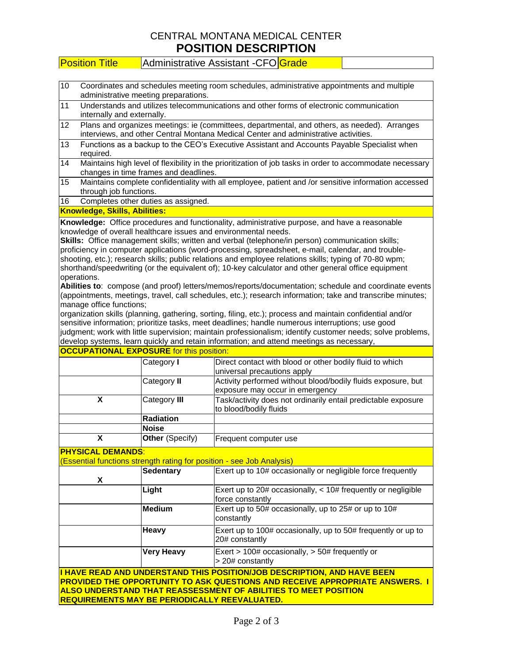## CENTRAL MONTANA MEDICAL CENTER **POSITION DESCRIPTION**

| <b>Administrative Assistant -CFO</b> Grade<br><b>Position Title</b> |
|---------------------------------------------------------------------|
|---------------------------------------------------------------------|

| 10 | Coordinates and schedules meeting room schedules, administrative appointments and multiple |
|----|--------------------------------------------------------------------------------------------|
|    | administrative meeting preparations.                                                       |

- 11 Understands and utilizes telecommunications and other forms of electronic communication internally and externally.
- 12 Plans and organizes meetings: ie (committees, departmental, and others, as needed). Arranges interviews, and other Central Montana Medical Center and administrative activities.
- 13 Functions as a backup to the CEO's Executive Assistant and Accounts Payable Specialist when required.
- 14 Maintains high level of flexibility in the prioritization of job tasks in order to accommodate necessary changes in time frames and deadlines.
- 15 Maintains complete confidentiality with all employee, patient and /or sensitive information accessed through job functions.

16 Completes other duties as assigned.

#### **Knowledge, Skills, Abilities:**

**Knowledge:** Office procedures and functionality, administrative purpose, and have a reasonable knowledge of overall healthcare issues and environmental needs.

**Skills:** Office management skills; written and verbal (telephone/in person) communication skills; proficiency in computer applications (word-processing, spreadsheet, e-mail, calendar, and troubleshooting, etc.); research skills; public relations and employee relations skills; typing of 70-80 wpm; shorthand/speedwriting (or the equivalent of); 10-key calculator and other general office equipment operations.

**Abilities to**: compose (and proof) letters/memos/reports/documentation; schedule and coordinate events (appointments, meetings, travel, call schedules, etc.); research information; take and transcribe minutes; manage office functions;

organization skills (planning, gathering, sorting, filing, etc.); process and maintain confidential and/or sensitive information; prioritize tasks, meet deadlines; handle numerous interruptions; use good judgment; work with little supervision; maintain professionalism; identify customer needs; solve problems, develop systems, learn quickly and retain information; and attend meetings as necessary,

| <b>OCCUPATIONAL EXPOSURE</b> for this position: |                        |                                                               |  |  |
|-------------------------------------------------|------------------------|---------------------------------------------------------------|--|--|
|                                                 | Category I             | Direct contact with blood or other bodily fluid to which      |  |  |
|                                                 |                        | universal precautions apply                                   |  |  |
|                                                 | Category II            | Activity performed without blood/bodily fluids exposure, but  |  |  |
|                                                 |                        | exposure may occur in emergency                               |  |  |
|                                                 | Category III           | Task/activity does not ordinarily entail predictable exposure |  |  |
|                                                 |                        | to blood/bodily fluids                                        |  |  |
|                                                 | Radiation              |                                                               |  |  |
|                                                 | <b>Noise</b>           |                                                               |  |  |
| χ                                               | <b>Other</b> (Specify) | Frequent computer use                                         |  |  |

### **PHYSICAL DEMANDS**:

(Essential functions strength rating for position - see Job Analysis)

| X                                                                                                                                                                                                                                                                                           | <b>Sedentary</b>  | Exert up to 10# occasionally or negligible force frequently                            |
|---------------------------------------------------------------------------------------------------------------------------------------------------------------------------------------------------------------------------------------------------------------------------------------------|-------------------|----------------------------------------------------------------------------------------|
|                                                                                                                                                                                                                                                                                             | Light             | Exert up to $20\#$ occasionally, $< 10\#$ frequently or negligible<br>force constantly |
|                                                                                                                                                                                                                                                                                             | <b>Medium</b>     | Exert up to 50# occasionally, up to 25# or up to 10#<br>constantly                     |
|                                                                                                                                                                                                                                                                                             | <b>Heavy</b>      | Exert up to 100# occasionally, up to 50# frequently or up to<br>20# constantly         |
|                                                                                                                                                                                                                                                                                             | <b>Very Heavy</b> | Exert > $100#$ occasionally, > $50#$ frequently or<br>> 20# constantly                 |
| I HAVE READ AND UNDERSTAND THIS POSITION/JOB DESCRIPTION, AND HAVE BEEN<br><b>PROVIDED THE OPPORTUNITY TO ASK QUESTIONS AND RECEIVE APPROPRIATE ANSWERS. I</b><br>ALSO UNDERSTAND THAT REASSESSMENT OF ABILITIES TO MEET POSITION<br><u> IREQUIREMENTS MAY BE PERIODICALLY REEVALUATED.</u> |                   |                                                                                        |